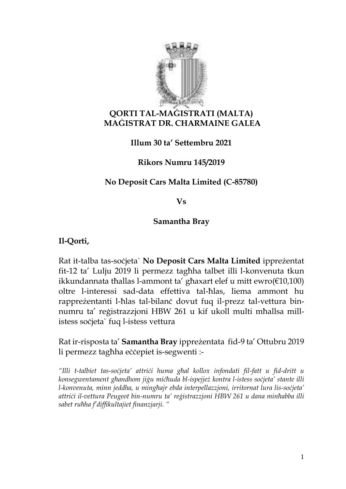

#### **QORTI TAL-MAĠISTRATI (MALTA) MAĠISTRAT DR. CHARMAINE GALEA**

**Illum 30 ta' Settembru 2021** 

**Rikors Numru 145/2019**

# **No Deposit Cars Malta Limited (C-85780)**

**Vs**

#### **Samantha Bray**

**Il-Qorti,**

Rat it-talba tas-soċjeta` **No Deposit Cars Malta Limited** ippreżentat fit-12 ta' Lulju 2019 li permezz tagħha talbet illi l-konvenuta tkun ikkundannata tħallas l-ammont ta' għaxart elef u mitt ewro(€10,100) oltre l-interessi sad-data effettiva tal-ħlas, liema ammont hu rappreżentanti l-ħlas tal-bilanċ dovut fuq il-prezz tal-vettura binnumru ta' reġistrazzjoni HBW 261 u kif ukoll multi mħallsa millistess soċjeta` fuq l-istess vettura

Rat ir-risposta ta' **Samantha Bray** ippreżentata fid-9 ta' Ottubru 2019 li permezz tagħha eċċepiet is-segwenti :-

*"Illi t-talbiet tas-soċjeta' attriċi huma għal kollox infondati fil-fatt u fid-dritt u konsegwentament għandhom jiġu miċħuda bl-ispejjeż kontra l-istess soċjeta' stante illi l-konvenuta, minn jeddha, u mingħajr ebda interpellazzjoni, irritornat lura lis-soċjeta' attriċi il-vettura Peugeot bin-numru ta' reġistrazzjoni HBW 261 u dana minħabba illi sabet ruħha f'diffikultajiet finanzjarji. "*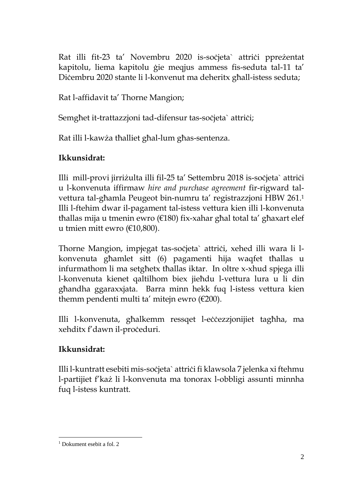Rat illi fit-23 ta' Novembru 2020 is-soċjeta` attriċi ppreżentat kapitolu, liema kapitolu ġie meqjus ammess fis-seduta tal-11 ta' Diċembru 2020 stante li l-konvenut ma deheritx għall-istess seduta;

Rat l-affidavit ta' Thorne Mangion;

Semghet it-trattazzjoni tad-difensur tas-soċjeta` attriċi;

Rat illi l-kawża tħalliet għal-lum għas-sentenza.

# **Ikkunsidrat:**

Illi mill-provi jirriżulta illi fil-25 ta' Settembru 2018 is-soċjeta` attriċi u l-konvenuta iffirmaw *hire and purchase agreement* fir-rigward talvettura tal-għamla Peugeot bin-numru ta' registrazzjoni HBW 261. 1 Illi l-ftehim dwar il-pagament tal-istess vettura kien illi l-konvenuta tħallas mija u tmenin ewro (€180) fix-xahar għal total ta' għaxart elef u tmien mitt ewro (€10,800).

Thorne Mangion, impjegat tas-soċjeta` attriċi, xehed illi wara li lkonvenuta għamlet sitt (6) pagamenti hija waqfet tħallas u infurmathom li ma setgħetx tħallas iktar. In oltre x-xhud spjega illi l-konvenuta kienet qaltilhom biex jieħdu l-vettura lura u li din għandha ggaraxxjata. Barra minn hekk fuq l-istess vettura kien themm pendenti multi ta' mitejn ewro  $(\text{\textsterling}200)$ .

Illi l-konvenuta, għalkemm ressqet l-eċċezzjonijiet tagħha, ma xehditx f'dawn il-proceduri.

# **Ikkunsidrat:**

Illi l-kuntratt esebiti mis-soċjeta` attriċi fi klawsola 7 jelenka xi ftehmu l-partijiet f'każ li l-konvenuta ma tonorax l-obbligi assunti minnha fuq l-istess kuntratt.

<sup>&</sup>lt;sup>1</sup> Dokument esebit a fol. 2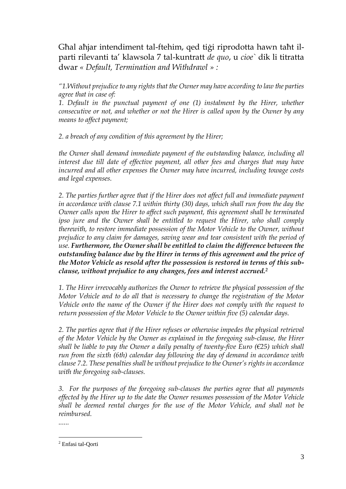Għal aħjar intendiment tal-ftehim, qed tiġi riprodotta hawn taħt ilparti rilevanti ta' klawsola 7 tal-kuntratt *de quo*, u *cioe`* dik li titratta dwar *« Default, Termination and Withdrawl » :*

*"1.Without prejudice to any rights that the Owner may have according to law the parties agree that in case of:*

*1. Default in the punctual payment of one (1) instalment by the Hirer, whether consecutive or not, and whether or not the Hirer is called upon by the Owner by any means to affect payment;*

*2. a breach of any condition of this agreement by the Hirer;*

*the Owner shall demand immediate payment of the outstanding balance, including all interest due till date of effective payment, all other fees and charges that may have incurred and all other expenses the Owner may have incurred, including towage costs and legal expenses.*

2. The parties further agree that if the Hirer does not affect full and immediate payment *in accordance with clause 7.1 within thirty (30) days, which shall run from the day the Owner calls upon the Hirer to affect such payment, this agreement shall be terminated ipso jure and the Owner shall be entitled to request the Hirer, who shall comply therewith, to restore immediate possession of the Motor Vehicle to the Owner, without prejudice to any claim for damages, saving wear and tear consistent with the period of use. Furthermore, the Owner shall be entitled to claim the difference between the outstanding balance due by the Hirer in terms of this agreement and the price of the Motor Vehicle as resold after the possession is restored in terms of this subclause, without prejudice to any changes, fees and interest accrued.<sup>2</sup>*

*1. The Hirer irrevocably authorizes the Owner to retrieve the physical possession of the Motor Vehicle and to do all that is necessary to change the registration of the Motor Vehicle onto the name of the Owner if the Hirer does not comply with the request to return possession of the Motor Vehicle to the Owner within five (5) calendar days.*

2. The parties agree that if the Hirer refuses or otherwise impedes the physical retrieval *of the Motor Vehicle by the Owner as explained in the foregoing sub-clause, the Hirer shall be liable to pay the Owner a daily penalty of twenty-five Euro (€25) which shall run from the sixth (6th) calendar day following the day of demand in accordance with clause 7.2. These penalties shall be without prejudice to the Owner's rights in accordance with the foregoing sub-clauses.*

*3. For the purposes of the foregoing sub-clauses the parties agree that all payments effected by the Hirer up to the date the Owner resumes possession of the Motor Vehicle shall be deemed rental charges for the use of the Motor Vehicle, and shall not be reimbursed.*

*......*

<sup>2</sup> Enfasi tal-Qorti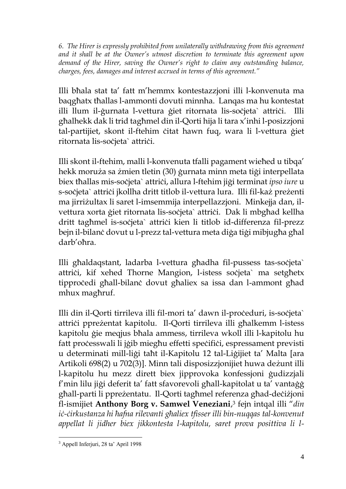*6. The Hirer is expressly prohibited from unilaterally withdrawing from this agreement and it shall be at the Owner's utmost discretion to terminate this agreement upon demand of the Hirer, saving the Owner's right to claim any outstanding balance, charges, fees, damages and interest accrued in terms of this agreement."*

Illi bħala stat ta' fatt m'hemmx kontestazzjoni illi l-konvenuta ma baqgħatx tħallas l-ammonti dovuti minnha. Lanqas ma hu kontestat illi llum il-ġurnata l-vettura ġiet ritornata lis-soċjeta` attriċi. Illi għalhekk dak li trid tagħmel din il-Qorti hija li tara x'inhi l-posizzjoni tal-partijiet, skont il-ftehim ċitat hawn fuq, wara li l-vettura ġiet ritornata lis-soċjeta` attriċi.

Illi skont il-ftehim, malli l-konvenuta tfalli pagament wieħed u tibqa' hekk moruża sa żmien tletin (30) ġurnata minn meta tiġi interpellata biex tħallas mis-soċjeta` attriċi, allura l-ftehim jiġi terminat *ipso iure* u s-soċjeta` attriċi jkollha dritt titlob il-vettura lura. Illi fil-każ preżenti ma jirriżultax li saret l-imsemmija interpellazzjoni. Minkejja dan, ilvettura xorta ġiet ritornata lis-soċjeta` attriċi. Dak li mbgħad kellha dritt tagħmel is-soċjeta` attriċi kien li titlob id-differenza fil-prezz bejn il-bilanċ dovut u l-prezz tal-vettura meta diġa tiġi mibjugħa għal darb'oħra.

Illi għaldaqstant, ladarba l-vettura għadha fil-pussess tas-soċjeta` attriċi, kif xehed Thorne Mangion, l-istess soċjeta` ma setgħetx tipproċedi għall-bilanċ dovut għaliex sa issa dan l-ammont għad mhux magħruf.

Illi din il-Qorti tirrileva illi fil-mori ta' dawn il-proċeduri, is-soċjeta` attriċi ppreżentat kapitolu. Il-Qorti tirrileva illi għalkemm l-istess kapitolu ġie meqjus bħala ammess, tirrileva wkoll illi l-kapitolu hu fatt proċesswali li jġib miegħu effetti speċifiċi, espressament previsti u determinati mill-liġi taħt il-Kapitolu 12 tal-Liġijiet ta' Malta [ara Artikoli 698(2) u 702(3)]. Minn tali disposizzjonijiet huwa deżunt illi l-kapitolu hu mezz dirett biex jipprovoka konfessjoni ġudizzjali f'min lilu jiġi deferit ta' fatt sfavorevoli għall-kapitolat u ta' vantaġġ għall-parti li ppreżentatu. Il-Qorti tagħmel referenza għad-deċiżjoni fl-ismijiet **Anthony Borg v. Samwel Veneziani**, <sup>3</sup> fejn intqal illi "*din iċ-ċirkustanza hi ħafna rilevanti għaliex tfisser illi bin-nuqqas tal-konvenut appellat li jidher biex jikkontesta l-kapitolu, saret prova posittiva li l-*

<sup>3</sup> Appell Inferjuri, 28 ta' April 1998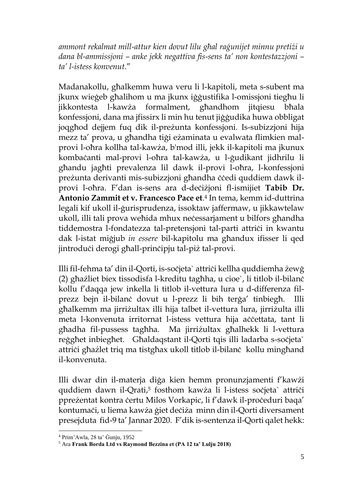*ammont rekalmat mill-attur kien dovut lilu għal raġunijet minnu pretiżi u dana bl-ammissjoni – anke jekk negattiva fis-sens ta' non kontestazzjoni – ta' l-istess konvenut*."

Madanakollu, għalkemm huwa veru li l-kapitoli, meta s-subent ma jkunx wieġeb għalihom u ma jkunx iġġustifika l-omissjoni tiegħu li jikkontesta l-kawża formalment, għandhom jitqiesu bħala konfessjoni, dana ma jfissirx li min hu tenut jiġġudika huwa obbligat joqgħod dejjem fuq dik il-preżunta konfessjoni. Is-subizzjoni hija mezz ta' prova, u għandha tiġi eżaminata u evalwata flimkien malprovi l-oħra kollha tal-kawża, b'mod illi, jekk il-kapitoli ma jkunux kombaċanti mal-provi l-oħra tal-kawża, u l-ġudikant jidhrilu li għandu jagħti prevalenza lil dawk il-provi l-oħra, l-konfessjoni preżunta derivanti mis-subizzjoni għandha ċċedi quddiem dawk ilprovi l-oħra. F'dan is-sens ara d-deċiżjoni fl-ismijiet **Tabib Dr. Antonio Zammit et v. Francesco Pace et**. <sup>4</sup> In tema, kemm id-duttrina legali kif ukoll il-ġurisprudenza, issoktaw jaffermaw, u jikkawtelaw ukoll, illi tali prova weħida mhux neċessarjament u bilfors għandha tiddemostra l-fondatezza tal-pretensjoni tal-parti attriči in kwantu dak l-istat miġjub *in essere* bil-kapitolu ma għandux ifisser li qed jintroduċi derogi għall-prinċipju tal-piż tal-provi.

Illi fil-fehma ta' din il-Qorti, is-soċjeta` attriċi kellha quddiemha żewġ (2) għażliet biex tissodisfa l-kreditu tagħha, u cioe`, li titlob il-bilanċ kollu f'daqqa jew inkella li titlob il-vettura lura u d-differenza filprezz bejn il-bilanċ dovut u l-prezz li bih terġa' tinbiegħ. Illi għalkemm ma jirriżultax illi hija talbet il-vettura lura, jirriżulta illi meta l-konvenuta irritornat l-istess vettura hija aċėttata, tant li għadha fil-pussess tagħha. Ma jirriżultax għalhekk li l-vettura reġgħet inbiegħet. Għaldaqstant il-Qorti tqis illi ladarba s-soċjeta` attriċi għażlet triq ma tistgħax ukoll titlob il-bilanċ kollu mingħand il-konvenuta.

Illi dwar din il-materja diġa kien hemm pronunzjamenti f'kawżi quddiem dawn il-Qrati,<sup>5</sup> fosthom kawża li l-istess soċjeta` attriċi ppreżentat kontra ċertu Milos Vorkapic, li f'dawk il-proċeduri baqa' kontumaċi, u liema kawża ġiet deċiża minn din il-Qorti diversament presejduta fid-9 ta' Jannar 2020. F'dik is-sentenza il-Qorti qalet hekk:

 $4$  Prim'Awla, 28 ta' Gunju, 1952

<sup>5</sup> Ara **Frank Borda Ltd vs Raymond Bezzina et (PA 12 ta' Lulju 2018)**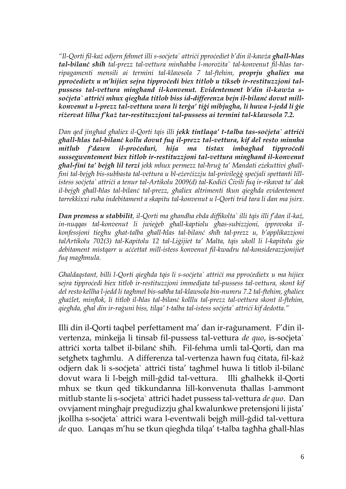*"Il-Qorti fil-każ odjern fehmet illi s-soċjeta` attriċi pproċediet b'din il-kawża għall-ħlas tal-bilanċ sħiħ tal-prezz tal-vettura minħabba l-morożita` tal-konvenut fil-ħlas tarripagamenti mensili ai termini tal-klawsola 7 tal-ftehim, proprju għaliex ma pproċedietx u m'hijiex sejra tipproċedi biex titlob u tikseb ir-restituzzjoni talpussess tal-vettura mingħand il-konvenut. Evidentement b'din il-kawża ssoċjeta` attriċi mhux qiegħda titlob biss id-differenza bejn il-bilanċ dovut millkonvenut u l-prezz tal-vettura wara li terġa' tiġi mibjugħa, li huwa l-jedd li ġie riżervat lilha f'każ tar-restituzzjoni tal-pussess ai termini tal-klawsola 7.2.* 

*Dan qed jingħad għaliex il-Qorti tqis illi jekk tintlaqa' t-talba tas-soċjeta` attriċi għall-ħlas tal-bilanċ kollu dovut fuq il-prezz tal-vettura, kif del resto minnha mitlub f'dawn il-proċeduri, hija ma tistax imbagħad tipproċedi sussegwentement biex titlob ir-restituzzjoni tal-vettura mingħand il-konvenut għal-fini ta' bejgħ lil terzi jekk mhux permezz tal-ħruġ ta' Mandati eżekuttivi għallfini tal-bejgħ bis-subbasta tal-vettura u bl-eżerċizzju tal-privileġġ speċjali spettanti lillistess soċjeta` attriċi a tenur tal-Artikolu 2009(d) tal-Kodiċi Ċivili fuq ir-rikavat ta' dak il-bejgħ għall-ħlas tal-bilanċ tal-prezz, għaliex altrimenti tkun qiegħda evidentement tarrekkixxi ruħa indebitament a skapitu tal-konvenut u l-Qorti trid tara li dan ma jsirx.* 

*Dan premess u stabbilit, il-Qorti ma għandha ebda diffikolta` illi tqis illi f'dan il-każ, in-nuqqas tal-konvenut li jwieġeb għall-kaptiolu għas-subizzjoni, ipprovoka ilkonfessjoni tiegħu għat-talba għall-ħlas tal-bilanċ sħiħ tal-prezz u, b'applikazzjoni talArtikolu 702(3) tal-Kapitolu 12 tal-Liġijiet ta' Malta, tqis ukoll li l-kapitolu ġie debitament mistqarr u aċċettat mill-istess konvenut fil-kwadru tal-konsiderazzjonijiet fuq magħmula.* 

*Għaldaqstant, billi l-Qorti qiegħda tqis li s-soċjeta` attriċi ma pproċedietx u ma hijiex sejra tipproċedi biex titlob ir-restituzzjoni immedjata tal-pussess tal-vettura, skont kif del resto kellha l-jedd li tagħmel bis-saħħa tal-klawsola bin-numru 7.2 tal-ftehim, għaliex għażlet, minflok, li titlob il-ħlas tal-bilanċ kolllu tal-prezz tal-vettura skont il-ftehim, qiegħda, għal din ir-raġuni biss, tilqa' t-talba tal-istess soċjeta` attriċi kif dedotta."*

Illi din il-Qorti taqbel perfettament ma' dan ir-raġunament. F'din ilvertenza, minkejja li tinsab fil-pussess tal-vettura *de quo*, is-socjeta` attriči xorta talbet il-bilanċ sħiħ. Fil-fehma umli tal-Qorti, dan ma setgħetx tagħmlu. A differenza tal-vertenza hawn fuq ċitata, fil-każ odjern dak li s-soċjeta` attriċi tista' tagħmel huwa li titlob il-bilanċ dovut wara li l-bejgħ mill-ġdid tal-vettura. Illi għalhekk il-Qorti mhux se tkun qed tikkundanna lill-konvenuta tħallas l-ammont mitlub stante li s-soċjeta` attriċi ħadet pussess tal-vettura *de quo*. Dan ovvjament mingħajr preġudizzju għal kwalunkwe pretensjoni li jista' jkollha s-soċjeta` attriċi wara l-eventwali bejgħ mill-ġdid tal-vettura *de* quo. Lanqas m'hu se tkun qiegħda tilqa' t-talba tagħha għall-ħlas